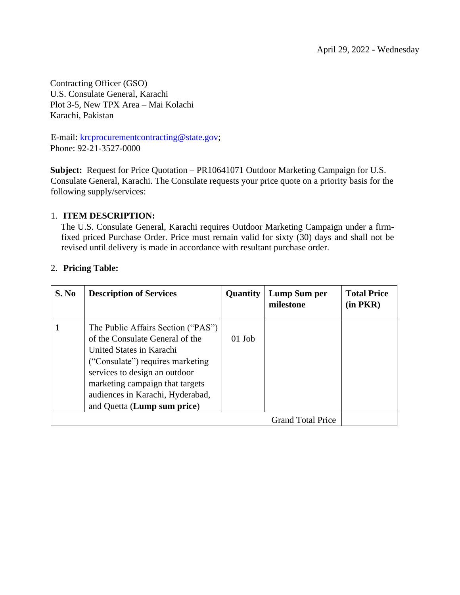Contracting Officer (GSO) U.S. Consulate General, Karachi Plot 3-5, New TPX Area – Mai Kolachi Karachi, Pakistan

E-mail: krcprocurementcontracting@state.gov; Phone: 92-21-3527-0000

**Subject:** Request for Price Quotation – PR10641071 Outdoor Marketing Campaign for U.S. Consulate General, Karachi. The Consulate requests your price quote on a priority basis for the following supply/services:

### 1. **ITEM DESCRIPTION:**

The U.S. Consulate General, Karachi requires Outdoor Marketing Campaign under a firmfixed priced Purchase Order. Price must remain valid for sixty (30) days and shall not be revised until delivery is made in accordance with resultant purchase order.

| S. No | <b>Description of Services</b>                                                                                                                                                                                                                                               | <b>Quantity</b> | Lump Sum per<br>milestone | <b>Total Price</b><br>$(in$ $PKR)$ |
|-------|------------------------------------------------------------------------------------------------------------------------------------------------------------------------------------------------------------------------------------------------------------------------------|-----------------|---------------------------|------------------------------------|
|       | The Public Affairs Section ("PAS")<br>of the Consulate General of the<br>United States in Karachi<br>("Consulate") requires marketing<br>services to design an outdoor<br>marketing campaign that targets<br>audiences in Karachi, Hyderabad,<br>and Quetta (Lump sum price) | $01$ Job        |                           |                                    |
|       |                                                                                                                                                                                                                                                                              |                 | <b>Grand Total Price</b>  |                                    |

### 2. **Pricing Table:**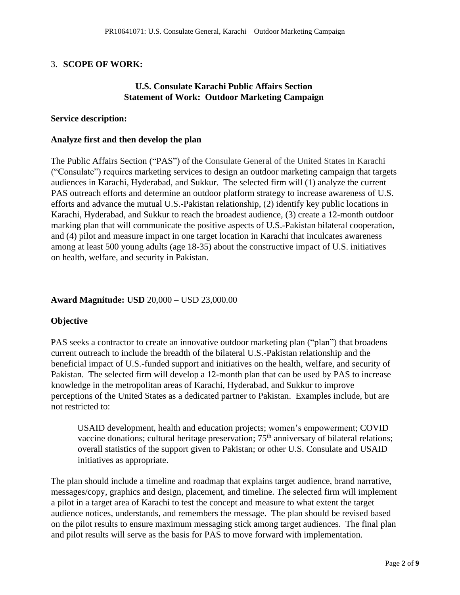# 3. **SCOPE OF WORK:**

## **U.S. Consulate Karachi Public Affairs Section Statement of Work: Outdoor Marketing Campaign**

#### **Service description:**

#### **Analyze first and then develop the plan**

The Public Affairs Section ("PAS") of the Consulate General of the United States in Karachi ("Consulate") requires marketing services to design an outdoor marketing campaign that targets audiences in Karachi, Hyderabad, and Sukkur. The selected firm will (1) analyze the current PAS outreach efforts and determine an outdoor platform strategy to increase awareness of U.S. efforts and advance the mutual U.S.-Pakistan relationship, (2) identify key public locations in Karachi, Hyderabad, and Sukkur to reach the broadest audience, (3) create a 12-month outdoor marking plan that will communicate the positive aspects of U.S.-Pakistan bilateral cooperation, and (4) pilot and measure impact in one target location in Karachi that inculcates awareness among at least 500 young adults (age 18-35) about the constructive impact of U.S. initiatives on health, welfare, and security in Pakistan.

## **Award Magnitude: USD** 20,000 – USD 23,000.00

## **Objective**

PAS seeks a contractor to create an innovative outdoor marketing plan ("plan") that broadens current outreach to include the breadth of the bilateral U.S.-Pakistan relationship and the beneficial impact of U.S.-funded support and initiatives on the health, welfare, and security of Pakistan. The selected firm will develop a 12-month plan that can be used by PAS to increase knowledge in the metropolitan areas of Karachi, Hyderabad, and Sukkur to improve perceptions of the United States as a dedicated partner to Pakistan. Examples include, but are not restricted to:

USAID development, health and education projects; women's empowerment; COVID vaccine donations; cultural heritage preservation; 75<sup>th</sup> anniversary of bilateral relations; overall statistics of the support given to Pakistan; or other U.S. Consulate and USAID initiatives as appropriate.

The plan should include a timeline and roadmap that explains target audience, brand narrative, messages/copy, graphics and design, placement, and timeline. The selected firm will implement a pilot in a target area of Karachi to test the concept and measure to what extent the target audience notices, understands, and remembers the message. The plan should be revised based on the pilot results to ensure maximum messaging stick among target audiences. The final plan and pilot results will serve as the basis for PAS to move forward with implementation.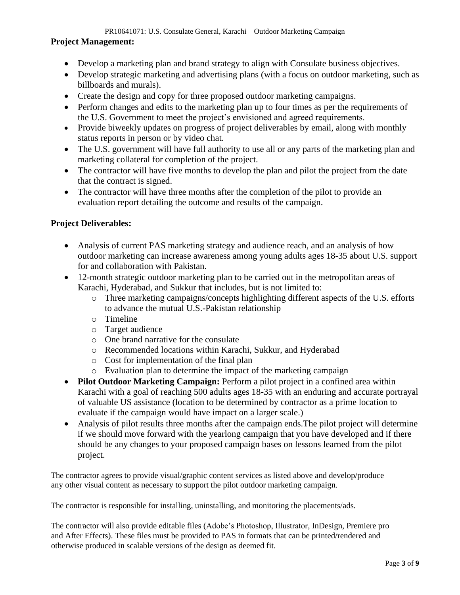PR10641071: U.S. Consulate General, Karachi – Outdoor Marketing Campaign

### **Project Management:**

- Develop a marketing plan and brand strategy to align with Consulate business objectives.
- Develop strategic marketing and advertising plans (with a focus on outdoor marketing, such as billboards and murals).
- Create the design and copy for three proposed outdoor marketing campaigns.
- Perform changes and edits to the marketing plan up to four times as per the requirements of the U.S. Government to meet the project's envisioned and agreed requirements.
- Provide biweekly updates on progress of project deliverables by email, along with monthly status reports in person or by video chat.
- The U.S. government will have full authority to use all or any parts of the marketing plan and marketing collateral for completion of the project.
- The contractor will have five months to develop the plan and pilot the project from the date that the contract is signed.
- The contractor will have three months after the completion of the pilot to provide an evaluation report detailing the outcome and results of the campaign.

## **Project Deliverables:**

- Analysis of current PAS marketing strategy and audience reach, and an analysis of how outdoor marketing can increase awareness among young adults ages 18-35 about U.S. support for and collaboration with Pakistan.
- 12-month strategic outdoor marketing plan to be carried out in the metropolitan areas of Karachi, Hyderabad, and Sukkur that includes, but is not limited to:
	- o Three marketing campaigns/concepts highlighting different aspects of the U.S. efforts to advance the mutual U.S.-Pakistan relationship
	- o Timeline
	- o Target audience
	- o One brand narrative for the consulate
	- o Recommended locations within Karachi, Sukkur, and Hyderabad
	- o Cost for implementation of the final plan
	- o Evaluation plan to determine the impact of the marketing campaign
- **Pilot Outdoor Marketing Campaign:** Perform a pilot project in a confined area within Karachi with a goal of reaching 500 adults ages 18-35 with an enduring and accurate portrayal of valuable US assistance (location to be determined by contractor as a prime location to evaluate if the campaign would have impact on a larger scale.)
- Analysis of pilot results three months after the campaign ends. The pilot project will determine if we should move forward with the yearlong campaign that you have developed and if there should be any changes to your proposed campaign bases on lessons learned from the pilot project.

The contractor agrees to provide visual/graphic content services as listed above and develop/produce any other visual content as necessary to support the pilot outdoor marketing campaign.

The contractor is responsible for installing, uninstalling, and monitoring the placements/ads.

The contractor will also provide editable files (Adobe's Photoshop, Illustrator, InDesign, Premiere pro and After Effects). These files must be provided to PAS in formats that can be printed/rendered and otherwise produced in scalable versions of the design as deemed fit.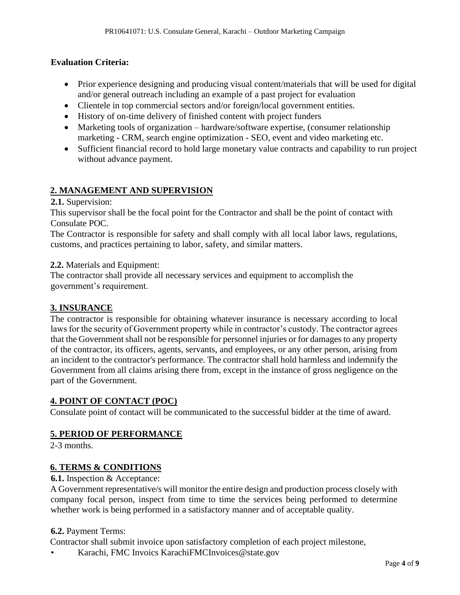## **Evaluation Criteria:**

- Prior experience designing and producing visual content/materials that will be used for digital and/or general outreach including an example of a past project for evaluation
- Clientele in top commercial sectors and/or foreign/local government entities.
- History of on-time delivery of finished content with project funders
- Marketing tools of organization hardware/software expertise, (consumer relationship marketing - CRM, search engine optimization - SEO, event and video marketing etc.
- Sufficient financial record to hold large monetary value contracts and capability to run project without advance payment.

## **2. MANAGEMENT AND SUPERVISION**

### **2.1.** Supervision:

This supervisor shall be the focal point for the Contractor and shall be the point of contact with Consulate POC.

The Contractor is responsible for safety and shall comply with all local labor laws, regulations, customs, and practices pertaining to labor, safety, and similar matters.

### **2.2.** Materials and Equipment:

The contractor shall provide all necessary services and equipment to accomplish the government's requirement.

## **3. INSURANCE**

The contractor is responsible for obtaining whatever insurance is necessary according to local laws for the security of Government property while in contractor's custody. The contractor agrees that the Government shall not be responsible for personnel injuries or for damages to any property of the contractor, its officers, agents, servants, and employees, or any other person, arising from an incident to the contractor's performance. The contractor shall hold harmless and indemnify the Government from all claims arising there from, except in the instance of gross negligence on the part of the Government.

## **4. POINT OF CONTACT (POC)**

Consulate point of contact will be communicated to the successful bidder at the time of award.

## **5. PERIOD OF PERFORMANCE**

2-3 months.

## **6. TERMS & CONDITIONS**

#### **6.1.** Inspection & Acceptance:

A Government representative/s will monitor the entire design and production process closely with company focal person, inspect from time to time the services being performed to determine whether work is being performed in a satisfactory manner and of acceptable quality.

#### **6.2.** Payment Terms:

Contractor shall submit invoice upon satisfactory completion of each project milestone,

• Karachi, FMC Invoics KarachiFMCInvoices@state.gov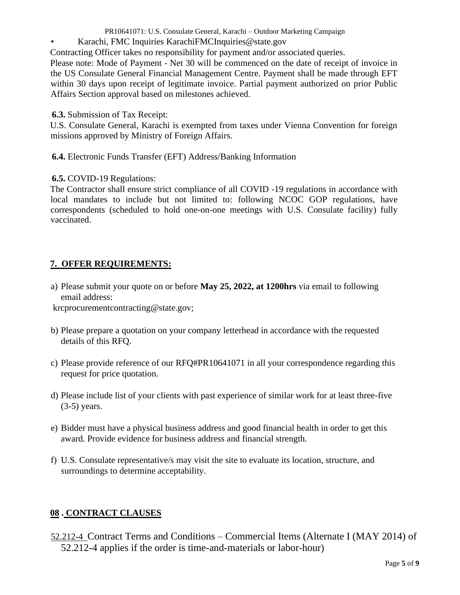- PR10641071: U.S. Consulate General, Karachi Outdoor Marketing Campaign
- Karachi, FMC Inquiries KarachiFMCInquiries@state.gov

Contracting Officer takes no responsibility for payment and/or associated queries.

Please note: Mode of Payment - Net 30 will be commenced on the date of receipt of invoice in the US Consulate General Financial Management Centre. Payment shall be made through EFT within 30 days upon receipt of legitimate invoice. Partial payment authorized on prior Public Affairs Section approval based on milestones achieved.

**6.3.** Submission of Tax Receipt:

U.S. Consulate General, Karachi is exempted from taxes under Vienna Convention for foreign missions approved by Ministry of Foreign Affairs.

**6.4.** Electronic Funds Transfer (EFT) Address/Banking Information

### **6.5.** COVID-19 Regulations:

The Contractor shall ensure strict compliance of all COVID -19 regulations in accordance with local mandates to include but not limited to: following NCOC GOP regulations, have correspondents (scheduled to hold one-on-one meetings with U.S. Consulate facility) fully vaccinated.

## **7. OFFER REQUIREMENTS:**

a) Please submit your quote on or before **May 25, 2022, at 1200hrs** via email to following email address:

krcprocurementcontracting@state.gov;

- b) Please prepare a quotation on your company letterhead in accordance with the requested details of this RFQ.
- c) Please provide reference of our RFQ#PR10641071 in all your correspondence regarding this request for price quotation.
- d) Please include list of your clients with past experience of similar work for at least three-five (3-5) years.
- e) Bidder must have a physical business address and good financial health in order to get this award. Provide evidence for business address and financial strength.
- f) U.S. Consulate representative/s may visit the site to evaluate its location, structure, and surroundings to determine acceptability.

## **08 . CONTRACT CLAUSES**

52.212-4 Contract Terms and Conditions – Commercial Items (Alternate I (MAY 2014) of 52.212-4 applies if the order is time-and-materials or labor-hour)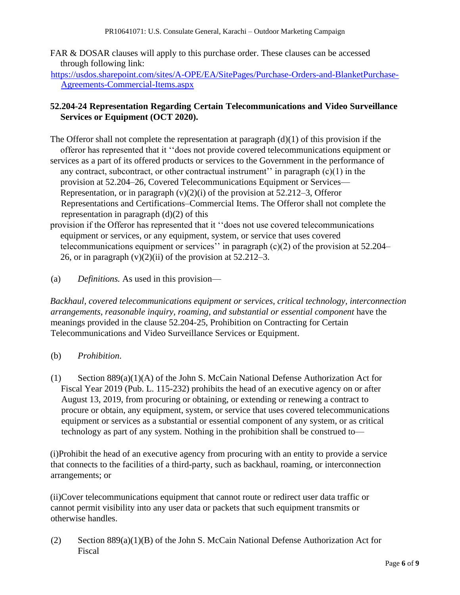FAR & DOSAR clauses will apply to this purchase order. These clauses can be accessed through following link:

[https://usdos.sharepoint.com/sites/A-OPE/EA/SitePages/Purchase-Orders-and-BlanketPurchase-](https://usdos.sharepoint.com/sites/A-OPE/EA/SitePages/Purchase-Orders-and-Blanket-Purchase-Agreements-Commercial-Items.aspx)[Agreements-Commercial-Items.aspx](https://usdos.sharepoint.com/sites/A-OPE/EA/SitePages/Purchase-Orders-and-Blanket-Purchase-Agreements-Commercial-Items.aspx)

# **52.204-24 Representation Regarding Certain Telecommunications and Video Surveillance Services or Equipment (OCT 2020).**

- The Offeror shall not complete the representation at paragraph  $(d)(1)$  of this provision if the offeror has represented that it ''does not provide covered telecommunications equipment or services as a part of its offered products or services to the Government in the performance of any contract, subcontract, or other contractual instrument'' in paragraph  $(c)(1)$  in the provision at 52.204–26, Covered Telecommunications Equipment or Services— Representation, or in paragraph  $(v)(2)(i)$  of the provision at 52.212–3, Offeror Representations and Certifications–Commercial Items. The Offeror shall not complete the representation in paragraph  $(d)(2)$  of this
- provision if the Offeror has represented that it ''does not use covered telecommunications equipment or services, or any equipment, system, or service that uses covered telecommunications equipment or services'' in paragraph  $(c)(2)$  of the provision at 52.204– 26, or in paragraph  $(v)(2)(ii)$  of the provision at 52.212–3.
- (a) *Definitions.* As used in this provision—

*Backhaul, covered telecommunications equipment or services, critical technology, interconnection arrangements, reasonable inquiry, roaming, and substantial or essential component* have the meanings provided in the clause 52.204-25, Prohibition on Contracting for Certain Telecommunications and Video Surveillance Services or Equipment.

- (b) *Prohibition*.
- (1) Section 889(a)(1)(A) of the John S. McCain National Defense Authorization Act for Fiscal Year 2019 (Pub. L. 115-232) prohibits the head of an executive agency on or after August 13, 2019, from procuring or obtaining, or extending or renewing a contract to procure or obtain, any equipment, system, or service that uses covered telecommunications equipment or services as a substantial or essential component of any system, or as critical technology as part of any system. Nothing in the prohibition shall be construed to—

(i)Prohibit the head of an executive agency from procuring with an entity to provide a service that connects to the facilities of a third-party, such as backhaul, roaming, or interconnection arrangements; or

(ii)Cover telecommunications equipment that cannot route or redirect user data traffic or cannot permit visibility into any user data or packets that such equipment transmits or otherwise handles.

(2) Section 889(a)(1)(B) of the John S. McCain National Defense Authorization Act for Fiscal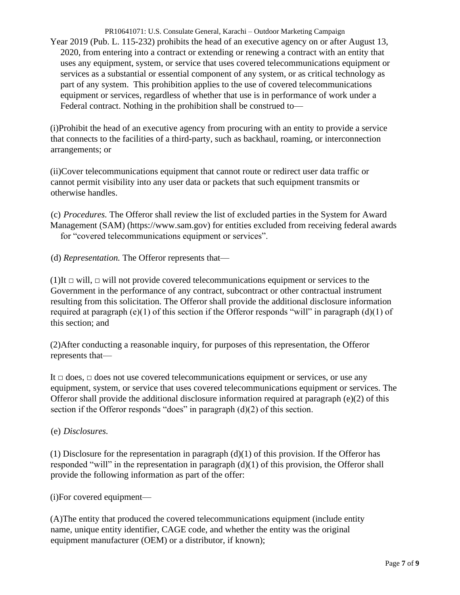PR10641071: U.S. Consulate General, Karachi – Outdoor Marketing Campaign Year 2019 (Pub. L. 115-232) prohibits the head of an executive agency on or after August 13, 2020, from entering into a contract or extending or renewing a contract with an entity that uses any equipment, system, or service that uses covered telecommunications equipment or services as a substantial or essential component of any system, or as critical technology as part of any system. This prohibition applies to the use of covered telecommunications equipment or services, regardless of whether that use is in performance of work under a Federal contract. Nothing in the prohibition shall be construed to—

(i)Prohibit the head of an executive agency from procuring with an entity to provide a service that connects to the facilities of a third-party, such as backhaul, roaming, or interconnection arrangements; or

(ii)Cover telecommunications equipment that cannot route or redirect user data traffic or cannot permit visibility into any user data or packets that such equipment transmits or otherwise handles.

(c) *Procedures.* The Offeror shall review the list of excluded parties in the System for Award Management (SAM) (https://www.sam.gov) for entities excluded from receiving federal awards for "covered telecommunications equipment or services".

(d) *Representation.* The Offeror represents that—

(1)It *□* will, *□* will not provide covered telecommunications equipment or services to the Government in the performance of any contract, subcontract or other contractual instrument resulting from this solicitation. The Offeror shall provide the additional disclosure information required at paragraph (e)(1) of this section if the Offeror responds "will" in paragraph (d)(1) of this section; and

(2)After conducting a reasonable inquiry, for purposes of this representation, the Offeror represents that—

It *□* does, *□* does not use covered telecommunications equipment or services, or use any equipment, system, or service that uses covered telecommunications equipment or services. The Offeror shall provide the additional disclosure information required at paragraph  $(e)(2)$  of this section if the Offeror responds "does" in paragraph (d)(2) of this section.

(e) *Disclosures.* 

(1) Disclosure for the representation in paragraph  $(d)(1)$  of this provision. If the Offeror has responded "will" in the representation in paragraph (d)(1) of this provision, the Offeror shall provide the following information as part of the offer:

(i)For covered equipment—

(A)The entity that produced the covered telecommunications equipment (include entity name, unique entity identifier, CAGE code, and whether the entity was the original equipment manufacturer (OEM) or a distributor, if known);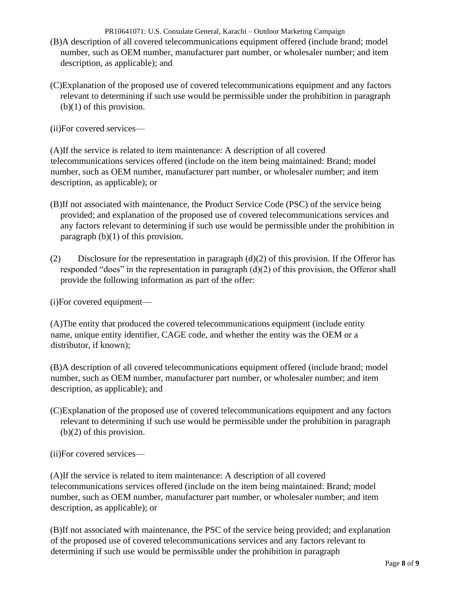PR10641071: U.S. Consulate General, Karachi – Outdoor Marketing Campaign (B)A description of all covered telecommunications equipment offered (include brand; model number, such as OEM number, manufacturer part number, or wholesaler number; and item description, as applicable); and

(C)Explanation of the proposed use of covered telecommunications equipment and any factors relevant to determining if such use would be permissible under the prohibition in paragraph (b)(1) of this provision.

(ii)For covered services—

(A)If the service is related to item maintenance: A description of all covered telecommunications services offered (include on the item being maintained: Brand; model number, such as OEM number, manufacturer part number, or wholesaler number; and item description, as applicable); or

- (B)If not associated with maintenance, the Product Service Code (PSC) of the service being provided; and explanation of the proposed use of covered telecommunications services and any factors relevant to determining if such use would be permissible under the prohibition in paragraph (b)(1) of this provision.
- (2) Disclosure for the representation in paragraph  $(d)(2)$  of this provision. If the Offeror has responded "does" in the representation in paragraph (d)(2) of this provision, the Offeror shall provide the following information as part of the offer:

(i)For covered equipment—

(A)The entity that produced the covered telecommunications equipment (include entity name, unique entity identifier, CAGE code, and whether the entity was the OEM or a distributor, if known);

(B)A description of all covered telecommunications equipment offered (include brand; model number, such as OEM number, manufacturer part number, or wholesaler number; and item description, as applicable); and

(C)Explanation of the proposed use of covered telecommunications equipment and any factors relevant to determining if such use would be permissible under the prohibition in paragraph (b)(2) of this provision.

(ii)For covered services—

(A)If the service is related to item maintenance: A description of all covered telecommunications services offered (include on the item being maintained: Brand; model number, such as OEM number, manufacturer part number, or wholesaler number; and item description, as applicable); or

(B)If not associated with maintenance, the PSC of the service being provided; and explanation of the proposed use of covered telecommunications services and any factors relevant to determining if such use would be permissible under the prohibition in paragraph